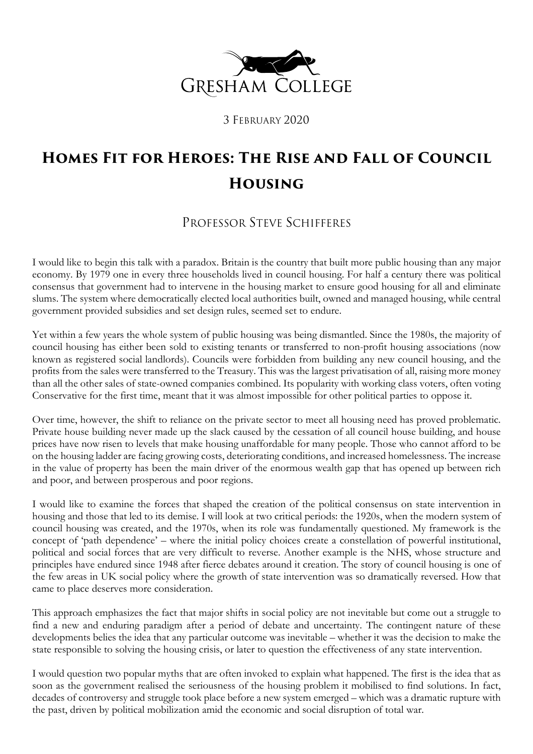

3 FEBRUARY 2020

# **Homes Fit for Heroes: The Rise and Fall of Council Housing**

## PROFESSOR STEVE SCHIFFERES

I would like to begin this talk with a paradox. Britain is the country that built more public housing than any major economy. By 1979 one in every three households lived in council housing. For half a century there was political consensus that government had to intervene in the housing market to ensure good housing for all and eliminate slums. The system where democratically elected local authorities built, owned and managed housing, while central government provided subsidies and set design rules, seemed set to endure.

Yet within a few years the whole system of public housing was being dismantled. Since the 1980s, the majority of council housing has either been sold to existing tenants or transferred to non-profit housing associations (now known as registered social landlords). Councils were forbidden from building any new council housing, and the profits from the sales were transferred to the Treasury. This was the largest privatisation of all, raising more money than all the other sales of state-owned companies combined. Its popularity with working class voters, often voting Conservative for the first time, meant that it was almost impossible for other political parties to oppose it.

Over time, however, the shift to reliance on the private sector to meet all housing need has proved problematic. Private house building never made up the slack caused by the cessation of all council house building, and house prices have now risen to levels that make housing unaffordable for many people. Those who cannot afford to be on the housing ladder are facing growing costs, deteriorating conditions, and increased homelessness. The increase in the value of property has been the main driver of the enormous wealth gap that has opened up between rich and poor, and between prosperous and poor regions.

I would like to examine the forces that shaped the creation of the political consensus on state intervention in housing and those that led to its demise. I will look at two critical periods: the 1920s, when the modern system of council housing was created, and the 1970s, when its role was fundamentally questioned. My framework is the concept of 'path dependence' – where the initial policy choices create a constellation of powerful institutional, political and social forces that are very difficult to reverse. Another example is the NHS, whose structure and principles have endured since 1948 after fierce debates around it creation. The story of council housing is one of the few areas in UK social policy where the growth of state intervention was so dramatically reversed. How that came to place deserves more consideration.

This approach emphasizes the fact that major shifts in social policy are not inevitable but come out a struggle to find a new and enduring paradigm after a period of debate and uncertainty. The contingent nature of these developments belies the idea that any particular outcome was inevitable – whether it was the decision to make the state responsible to solving the housing crisis, or later to question the effectiveness of any state intervention.

I would question two popular myths that are often invoked to explain what happened. The first is the idea that as soon as the government realised the seriousness of the housing problem it mobilised to find solutions. In fact, decades of controversy and struggle took place before a new system emerged – which was a dramatic rupture with the past, driven by political mobilization amid the economic and social disruption of total war.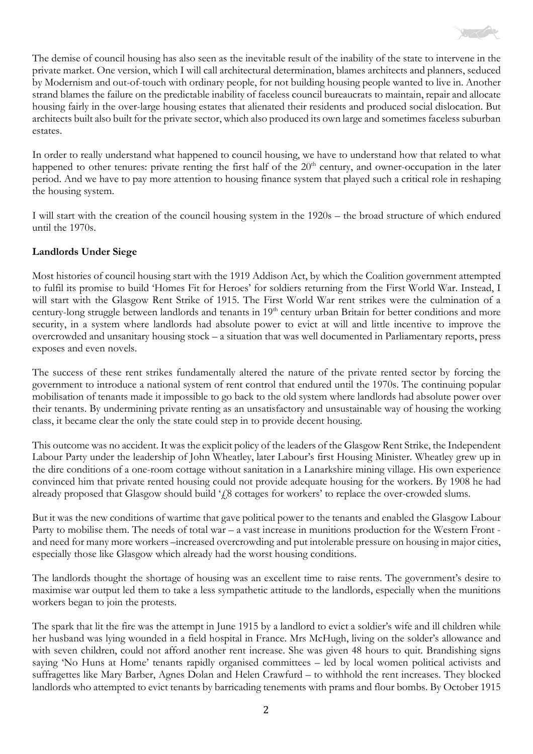

The demise of council housing has also seen as the inevitable result of the inability of the state to intervene in the private market. One version, which I will call architectural determination, blames architects and planners, seduced by Modernism and out-of-touch with ordinary people, for not building housing people wanted to live in. Another strand blames the failure on the predictable inability of faceless council bureaucrats to maintain, repair and allocate housing fairly in the over-large housing estates that alienated their residents and produced social dislocation. But architects built also built for the private sector, which also produced its own large and sometimes faceless suburban estates.

In order to really understand what happened to council housing, we have to understand how that related to what happened to other tenures: private renting the first half of the 20<sup>th</sup> century, and owner-occupation in the later period. And we have to pay more attention to housing finance system that played such a critical role in reshaping the housing system.

I will start with the creation of the council housing system in the 1920s – the broad structure of which endured until the 1970s.

#### **Landlords Under Siege**

Most histories of council housing start with the 1919 Addison Act, by which the Coalition government attempted to fulfil its promise to build 'Homes Fit for Heroes' for soldiers returning from the First World War. Instead, I will start with the Glasgow Rent Strike of 1915. The First World War rent strikes were the culmination of a century-long struggle between landlords and tenants in 19<sup>th</sup> century urban Britain for better conditions and more security, in a system where landlords had absolute power to evict at will and little incentive to improve the overcrowded and unsanitary housing stock – a situation that was well documented in Parliamentary reports, press exposes and even novels.

The success of these rent strikes fundamentally altered the nature of the private rented sector by forcing the government to introduce a national system of rent control that endured until the 1970s. The continuing popular mobilisation of tenants made it impossible to go back to the old system where landlords had absolute power over their tenants. By undermining private renting as an unsatisfactory and unsustainable way of housing the working class, it became clear the only the state could step in to provide decent housing.

This outcome was no accident. It was the explicit policy of the leaders of the Glasgow Rent Strike, the Independent Labour Party under the leadership of John Wheatley, later Labour's first Housing Minister. Wheatley grew up in the dire conditions of a one-room cottage without sanitation in a Lanarkshire mining village. His own experience convinced him that private rented housing could not provide adequate housing for the workers. By 1908 he had already proposed that Glasgow should build ' $f$ 8 cottages for workers' to replace the over-crowded slums.

But it was the new conditions of wartime that gave political power to the tenants and enabled the Glasgow Labour Party to mobilise them. The needs of total war – a vast increase in munitions production for the Western Front and need for many more workers –increased overcrowding and put intolerable pressure on housing in major cities, especially those like Glasgow which already had the worst housing conditions.

The landlords thought the shortage of housing was an excellent time to raise rents. The government's desire to maximise war output led them to take a less sympathetic attitude to the landlords, especially when the munitions workers began to join the protests.

The spark that lit the fire was the attempt in June 1915 by a landlord to evict a soldier's wife and ill children while her husband was lying wounded in a field hospital in France. Mrs McHugh, living on the solder's allowance and with seven children, could not afford another rent increase. She was given 48 hours to quit. Brandishing signs saying 'No Huns at Home' tenants rapidly organised committees – led by local women political activists and suffragettes like Mary Barber, Agnes Dolan and Helen Crawfurd – to withhold the rent increases. They blocked landlords who attempted to evict tenants by barricading tenements with prams and flour bombs. By October 1915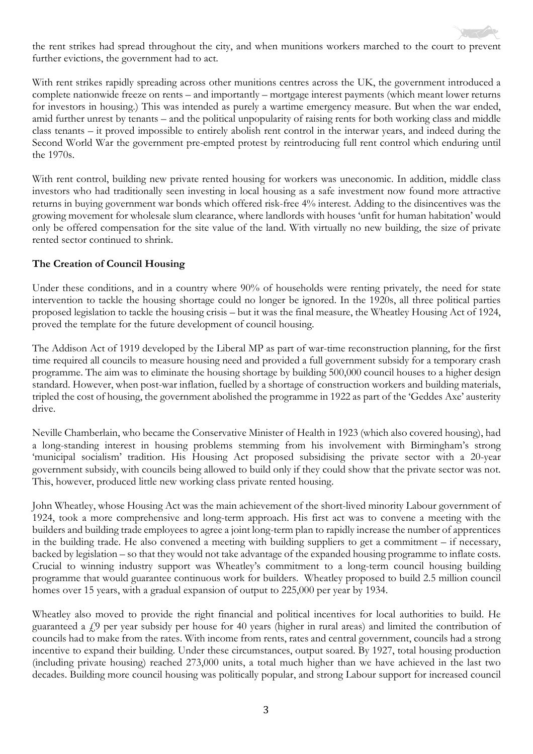the rent strikes had spread throughout the city, and when munitions workers marched to the court to prevent further evictions, the government had to act.

With rent strikes rapidly spreading across other munitions centres across the UK, the government introduced a complete nationwide freeze on rents – and importantly – mortgage interest payments (which meant lower returns for investors in housing.) This was intended as purely a wartime emergency measure. But when the war ended, amid further unrest by tenants – and the political unpopularity of raising rents for both working class and middle class tenants – it proved impossible to entirely abolish rent control in the interwar years, and indeed during the Second World War the government pre-empted protest by reintroducing full rent control which enduring until the 1970s.

With rent control, building new private rented housing for workers was uneconomic. In addition, middle class investors who had traditionally seen investing in local housing as a safe investment now found more attractive returns in buying government war bonds which offered risk-free 4% interest. Adding to the disincentives was the growing movement for wholesale slum clearance, where landlords with houses 'unfit for human habitation' would only be offered compensation for the site value of the land. With virtually no new building, the size of private rented sector continued to shrink.

#### **The Creation of Council Housing**

Under these conditions, and in a country where 90% of households were renting privately, the need for state intervention to tackle the housing shortage could no longer be ignored. In the 1920s, all three political parties proposed legislation to tackle the housing crisis – but it was the final measure, the Wheatley Housing Act of 1924, proved the template for the future development of council housing.

The Addison Act of 1919 developed by the Liberal MP as part of war-time reconstruction planning, for the first time required all councils to measure housing need and provided a full government subsidy for a temporary crash programme. The aim was to eliminate the housing shortage by building 500,000 council houses to a higher design standard. However, when post-war inflation, fuelled by a shortage of construction workers and building materials, tripled the cost of housing, the government abolished the programme in 1922 as part of the 'Geddes Axe' austerity drive.

Neville Chamberlain, who became the Conservative Minister of Health in 1923 (which also covered housing), had a long-standing interest in housing problems stemming from his involvement with Birmingham's strong 'municipal socialism' tradition. His Housing Act proposed subsidising the private sector with a 20-year government subsidy, with councils being allowed to build only if they could show that the private sector was not. This, however, produced little new working class private rented housing.

John Wheatley, whose Housing Act was the main achievement of the short-lived minority Labour government of 1924, took a more comprehensive and long-term approach. His first act was to convene a meeting with the builders and building trade employees to agree a joint long-term plan to rapidly increase the number of apprentices in the building trade. He also convened a meeting with building suppliers to get a commitment – if necessary, backed by legislation – so that they would not take advantage of the expanded housing programme to inflate costs. Crucial to winning industry support was Wheatley's commitment to a long-term council housing building programme that would guarantee continuous work for builders. Wheatley proposed to build 2.5 million council homes over 15 years, with a gradual expansion of output to 225,000 per year by 1934.

Wheatley also moved to provide the right financial and political incentives for local authorities to build. He guaranteed a £9 per year subsidy per house for 40 years (higher in rural areas) and limited the contribution of councils had to make from the rates. With income from rents, rates and central government, councils had a strong incentive to expand their building. Under these circumstances, output soared. By 1927, total housing production (including private housing) reached 273,000 units, a total much higher than we have achieved in the last two decades. Building more council housing was politically popular, and strong Labour support for increased council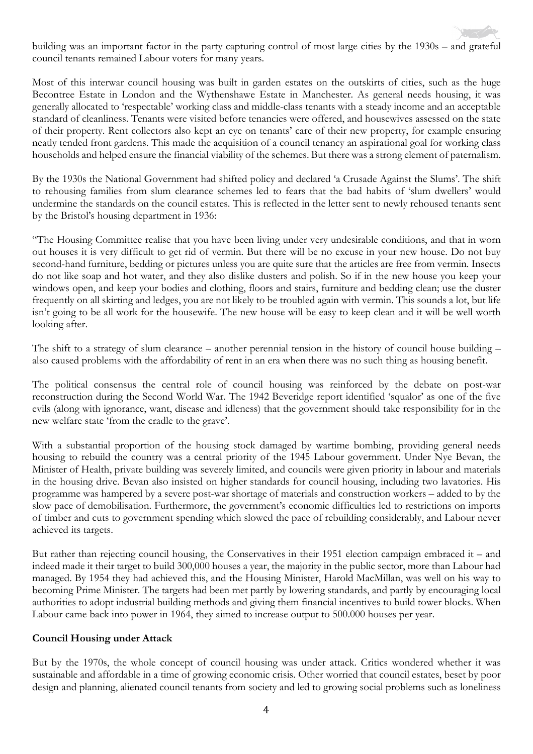building was an important factor in the party capturing control of most large cities by the 1930s – and grateful council tenants remained Labour voters for many years.

Most of this interwar council housing was built in garden estates on the outskirts of cities, such as the huge Becontree Estate in London and the Wythenshawe Estate in Manchester. As general needs housing, it was generally allocated to 'respectable' working class and middle-class tenants with a steady income and an acceptable standard of cleanliness. Tenants were visited before tenancies were offered, and housewives assessed on the state of their property. Rent collectors also kept an eye on tenants' care of their new property, for example ensuring neatly tended front gardens. This made the acquisition of a council tenancy an aspirational goal for working class households and helped ensure the financial viability of the schemes. But there was a strong element of paternalism.

By the 1930s the National Government had shifted policy and declared 'a Crusade Against the Slums'. The shift to rehousing families from slum clearance schemes led to fears that the bad habits of 'slum dwellers' would undermine the standards on the council estates. This is reflected in the letter sent to newly rehoused tenants sent by the Bristol's housing department in 1936:

"The Housing Committee realise that you have been living under very undesirable conditions, and that in worn out houses it is very difficult to get rid of vermin. But there will be no excuse in your new house. Do not buy second-hand furniture, bedding or pictures unless you are quite sure that the articles are free from vermin. Insects do not like soap and hot water, and they also dislike dusters and polish. So if in the new house you keep your windows open, and keep your bodies and clothing, floors and stairs, furniture and bedding clean; use the duster frequently on all skirting and ledges, you are not likely to be troubled again with vermin. This sounds a lot, but life isn't going to be all work for the housewife. The new house will be easy to keep clean and it will be well worth looking after.

The shift to a strategy of slum clearance – another perennial tension in the history of council house building – also caused problems with the affordability of rent in an era when there was no such thing as housing benefit.

The political consensus the central role of council housing was reinforced by the debate on post-war reconstruction during the Second World War. The 1942 Beveridge report identified 'squalor' as one of the five evils (along with ignorance, want, disease and idleness) that the government should take responsibility for in the new welfare state 'from the cradle to the grave'.

With a substantial proportion of the housing stock damaged by wartime bombing, providing general needs housing to rebuild the country was a central priority of the 1945 Labour government. Under Nye Bevan, the Minister of Health, private building was severely limited, and councils were given priority in labour and materials in the housing drive. Bevan also insisted on higher standards for council housing, including two lavatories. His programme was hampered by a severe post-war shortage of materials and construction workers – added to by the slow pace of demobilisation. Furthermore, the government's economic difficulties led to restrictions on imports of timber and cuts to government spending which slowed the pace of rebuilding considerably, and Labour never achieved its targets.

But rather than rejecting council housing, the Conservatives in their 1951 election campaign embraced it – and indeed made it their target to build 300,000 houses a year, the majority in the public sector, more than Labour had managed. By 1954 they had achieved this, and the Housing Minister, Harold MacMillan, was well on his way to becoming Prime Minister. The targets had been met partly by lowering standards, and partly by encouraging local authorities to adopt industrial building methods and giving them financial incentives to build tower blocks. When Labour came back into power in 1964, they aimed to increase output to 500.000 houses per year.

#### **Council Housing under Attack**

But by the 1970s, the whole concept of council housing was under attack. Critics wondered whether it was sustainable and affordable in a time of growing economic crisis. Other worried that council estates, beset by poor design and planning, alienated council tenants from society and led to growing social problems such as loneliness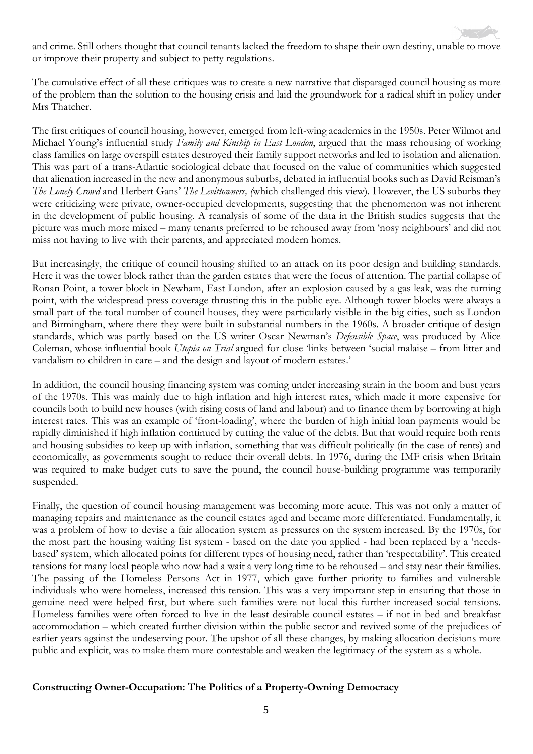and crime. Still others thought that council tenants lacked the freedom to shape their own destiny, unable to move or improve their property and subject to petty regulations.

The cumulative effect of all these critiques was to create a new narrative that disparaged council housing as more of the problem than the solution to the housing crisis and laid the groundwork for a radical shift in policy under Mrs Thatcher.

The first critiques of council housing, however, emerged from left-wing academics in the 1950s. Peter Wilmot and Michael Young's influential study *Family and Kinship in East London*, argued that the mass rehousing of working class families on large overspill estates destroyed their family support networks and led to isolation and alienation. This was part of a trans-Atlantic sociological debate that focused on the value of communities which suggested that alienation increased in the new and anonymous suburbs, debated in influential books such as David Reisman's *The Lonely Crowd* and Herbert Gans' *The Levittowners, (*which challenged this view)*.* However, the US suburbs they were criticizing were private, owner-occupied developments, suggesting that the phenomenon was not inherent in the development of public housing. A reanalysis of some of the data in the British studies suggests that the picture was much more mixed – many tenants preferred to be rehoused away from 'nosy neighbours' and did not miss not having to live with their parents, and appreciated modern homes.

But increasingly, the critique of council housing shifted to an attack on its poor design and building standards. Here it was the tower block rather than the garden estates that were the focus of attention. The partial collapse of Ronan Point, a tower block in Newham, East London, after an explosion caused by a gas leak, was the turning point, with the widespread press coverage thrusting this in the public eye. Although tower blocks were always a small part of the total number of council houses, they were particularly visible in the big cities, such as London and Birmingham, where there they were built in substantial numbers in the 1960s. A broader critique of design standards, which was partly based on the US writer Oscar Newman's *Defensible Space*, was produced by Alice Coleman, whose influential book *Utopia on Trial* argued for close 'links between 'social malaise – from litter and vandalism to children in care – and the design and layout of modern estates.'

In addition, the council housing financing system was coming under increasing strain in the boom and bust years of the 1970s. This was mainly due to high inflation and high interest rates, which made it more expensive for councils both to build new houses (with rising costs of land and labour) and to finance them by borrowing at high interest rates. This was an example of 'front-loading', where the burden of high initial loan payments would be rapidly diminished if high inflation continued by cutting the value of the debts. But that would require both rents and housing subsidies to keep up with inflation, something that was difficult politically (in the case of rents) and economically, as governments sought to reduce their overall debts. In 1976, during the IMF crisis when Britain was required to make budget cuts to save the pound, the council house-building programme was temporarily suspended.

Finally, the question of council housing management was becoming more acute. This was not only a matter of managing repairs and maintenance as the council estates aged and became more differentiated. Fundamentally, it was a problem of how to devise a fair allocation system as pressures on the system increased. By the 1970s, for the most part the housing waiting list system - based on the date you applied - had been replaced by a 'needsbased' system, which allocated points for different types of housing need, rather than 'respectability'. This created tensions for many local people who now had a wait a very long time to be rehoused – and stay near their families. The passing of the Homeless Persons Act in 1977, which gave further priority to families and vulnerable individuals who were homeless, increased this tension. This was a very important step in ensuring that those in genuine need were helped first, but where such families were not local this further increased social tensions. Homeless families were often forced to live in the least desirable council estates – if not in bed and breakfast accommodation – which created further division within the public sector and revived some of the prejudices of earlier years against the undeserving poor. The upshot of all these changes, by making allocation decisions more public and explicit, was to make them more contestable and weaken the legitimacy of the system as a whole.

#### **Constructing Owner-Occupation: The Politics of a Property-Owning Democracy**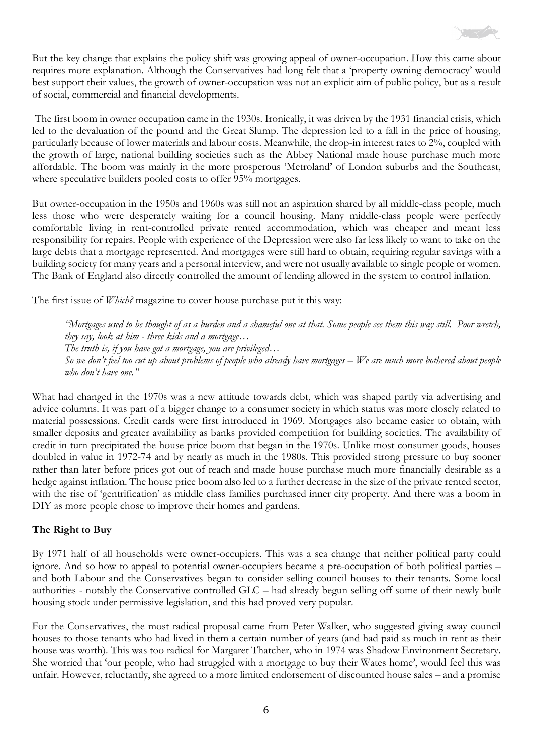But the key change that explains the policy shift was growing appeal of owner-occupation. How this came about requires more explanation. Although the Conservatives had long felt that a 'property owning democracy' would best support their values, the growth of owner-occupation was not an explicit aim of public policy, but as a result of social, commercial and financial developments.

The first boom in owner occupation came in the 1930s. Ironically, it was driven by the 1931 financial crisis, which led to the devaluation of the pound and the Great Slump. The depression led to a fall in the price of housing, particularly because of lower materials and labour costs. Meanwhile, the drop-in interest rates to 2%, coupled with the growth of large, national building societies such as the Abbey National made house purchase much more affordable. The boom was mainly in the more prosperous 'Metroland' of London suburbs and the Southeast, where speculative builders pooled costs to offer 95% mortgages.

But owner-occupation in the 1950s and 1960s was still not an aspiration shared by all middle-class people, much less those who were desperately waiting for a council housing. Many middle-class people were perfectly comfortable living in rent-controlled private rented accommodation, which was cheaper and meant less responsibility for repairs. People with experience of the Depression were also far less likely to want to take on the large debts that a mortgage represented. And mortgages were still hard to obtain, requiring regular savings with a building society for many years and a personal interview, and were not usually available to single people or women. The Bank of England also directly controlled the amount of lending allowed in the system to control inflation.

The first issue of *Which?* magazine to cover house purchase put it this way:

*"Mortgages used to be thought of as a burden and a shameful one at that. Some people see them this way still. Poor wretch, they say, look at him - three kids and a mortgage… The truth is, if you have got a mortgage, you are privileged… So we don't feel too cut up about problems of people who already have mortgages – We are much more bothered about people who don't have one."*

What had changed in the 1970s was a new attitude towards debt, which was shaped partly via advertising and advice columns. It was part of a bigger change to a consumer society in which status was more closely related to material possessions. Credit cards were first introduced in 1969. Mortgages also became easier to obtain, with smaller deposits and greater availability as banks provided competition for building societies. The availability of credit in turn precipitated the house price boom that began in the 1970s. Unlike most consumer goods, houses doubled in value in 1972-74 and by nearly as much in the 1980s. This provided strong pressure to buy sooner rather than later before prices got out of reach and made house purchase much more financially desirable as a hedge against inflation. The house price boom also led to a further decrease in the size of the private rented sector, with the rise of 'gentrification' as middle class families purchased inner city property. And there was a boom in DIY as more people chose to improve their homes and gardens.

### **The Right to Buy**

By 1971 half of all households were owner-occupiers. This was a sea change that neither political party could ignore. And so how to appeal to potential owner-occupiers became a pre-occupation of both political parties – and both Labour and the Conservatives began to consider selling council houses to their tenants. Some local authorities - notably the Conservative controlled GLC – had already begun selling off some of their newly built housing stock under permissive legislation, and this had proved very popular.

For the Conservatives, the most radical proposal came from Peter Walker, who suggested giving away council houses to those tenants who had lived in them a certain number of years (and had paid as much in rent as their house was worth). This was too radical for Margaret Thatcher, who in 1974 was Shadow Environment Secretary. She worried that 'our people, who had struggled with a mortgage to buy their Wates home', would feel this was unfair. However, reluctantly, she agreed to a more limited endorsement of discounted house sales – and a promise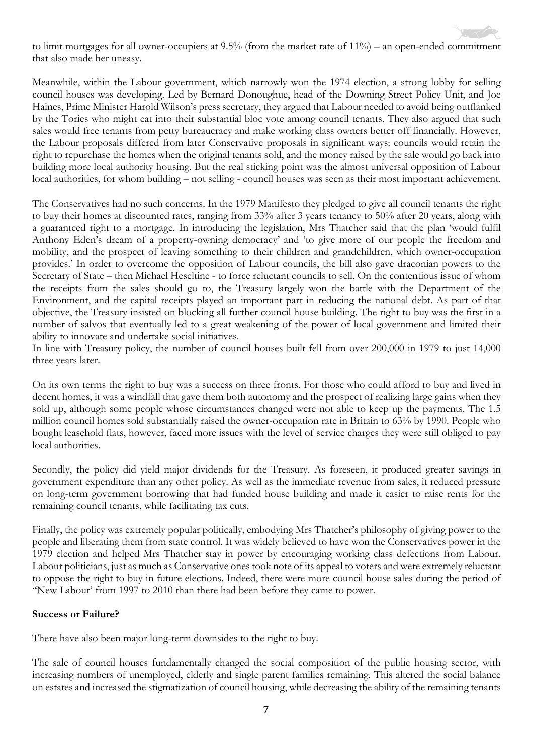to limit mortgages for all owner-occupiers at 9.5% (from the market rate of 11%) – an open-ended commitment that also made her uneasy.

Meanwhile, within the Labour government, which narrowly won the 1974 election, a strong lobby for selling council houses was developing. Led by Bernard Donoughue, head of the Downing Street Policy Unit, and Joe Haines, Prime Minister Harold Wilson's press secretary, they argued that Labour needed to avoid being outflanked by the Tories who might eat into their substantial bloc vote among council tenants. They also argued that such sales would free tenants from petty bureaucracy and make working class owners better off financially. However, the Labour proposals differed from later Conservative proposals in significant ways: councils would retain the right to repurchase the homes when the original tenants sold, and the money raised by the sale would go back into building more local authority housing. But the real sticking point was the almost universal opposition of Labour local authorities, for whom building – not selling - council houses was seen as their most important achievement.

The Conservatives had no such concerns. In the 1979 Manifesto they pledged to give all council tenants the right to buy their homes at discounted rates, ranging from 33% after 3 years tenancy to 50% after 20 years, along with a guaranteed right to a mortgage. In introducing the legislation, Mrs Thatcher said that the plan 'would fulfil Anthony Eden's dream of a property-owning democracy' and 'to give more of our people the freedom and mobility, and the prospect of leaving something to their children and grandchildren, which owner-occupation provides.' In order to overcome the opposition of Labour councils, the bill also gave draconian powers to the Secretary of State – then Michael Heseltine - to force reluctant councils to sell. On the contentious issue of whom the receipts from the sales should go to, the Treasury largely won the battle with the Department of the Environment, and the capital receipts played an important part in reducing the national debt. As part of that objective, the Treasury insisted on blocking all further council house building. The right to buy was the first in a number of salvos that eventually led to a great weakening of the power of local government and limited their ability to innovate and undertake social initiatives.

In line with Treasury policy, the number of council houses built fell from over 200,000 in 1979 to just 14,000 three years later.

On its own terms the right to buy was a success on three fronts. For those who could afford to buy and lived in decent homes, it was a windfall that gave them both autonomy and the prospect of realizing large gains when they sold up, although some people whose circumstances changed were not able to keep up the payments. The 1.5 million council homes sold substantially raised the owner-occupation rate in Britain to 63% by 1990. People who bought leasehold flats, however, faced more issues with the level of service charges they were still obliged to pay local authorities.

Secondly, the policy did yield major dividends for the Treasury. As foreseen, it produced greater savings in government expenditure than any other policy. As well as the immediate revenue from sales, it reduced pressure on long-term government borrowing that had funded house building and made it easier to raise rents for the remaining council tenants, while facilitating tax cuts.

Finally, the policy was extremely popular politically, embodying Mrs Thatcher's philosophy of giving power to the people and liberating them from state control. It was widely believed to have won the Conservatives power in the 1979 election and helped Mrs Thatcher stay in power by encouraging working class defections from Labour. Labour politicians, just as much as Conservative ones took note of its appeal to voters and were extremely reluctant to oppose the right to buy in future elections. Indeed, there were more council house sales during the period of "New Labour' from 1997 to 2010 than there had been before they came to power.

#### **Success or Failure?**

There have also been major long-term downsides to the right to buy.

The sale of council houses fundamentally changed the social composition of the public housing sector, with increasing numbers of unemployed, elderly and single parent families remaining. This altered the social balance on estates and increased the stigmatization of council housing, while decreasing the ability of the remaining tenants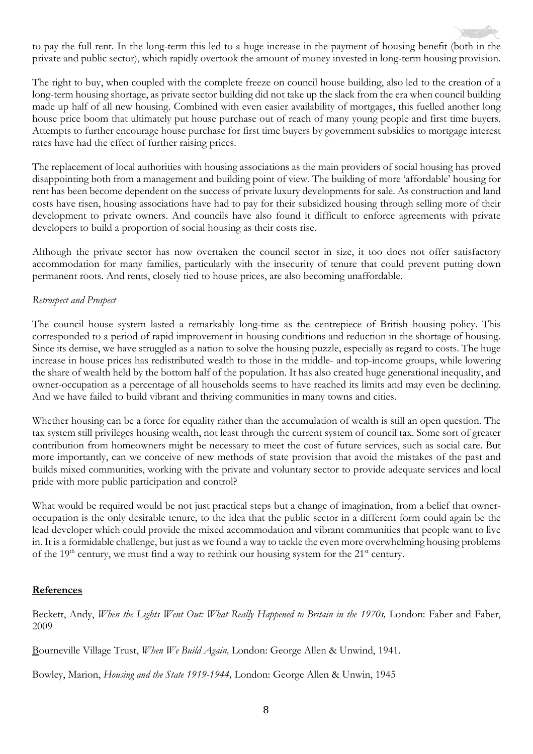to pay the full rent. In the long-term this led to a huge increase in the payment of housing benefit (both in the private and public sector), which rapidly overtook the amount of money invested in long-term housing provision.

The right to buy, when coupled with the complete freeze on council house building, also led to the creation of a long-term housing shortage, as private sector building did not take up the slack from the era when council building made up half of all new housing. Combined with even easier availability of mortgages, this fuelled another long house price boom that ultimately put house purchase out of reach of many young people and first time buyers. Attempts to further encourage house purchase for first time buyers by government subsidies to mortgage interest rates have had the effect of further raising prices.

The replacement of local authorities with housing associations as the main providers of social housing has proved disappointing both from a management and building point of view. The building of more 'affordable' housing for rent has been become dependent on the success of private luxury developments for sale. As construction and land costs have risen, housing associations have had to pay for their subsidized housing through selling more of their development to private owners. And councils have also found it difficult to enforce agreements with private developers to build a proportion of social housing as their costs rise.

Although the private sector has now overtaken the council sector in size, it too does not offer satisfactory accommodation for many families, particularly with the insecurity of tenure that could prevent putting down permanent roots. And rents, closely tied to house prices, are also becoming unaffordable.

#### *Retrospect and Prospect*

The council house system lasted a remarkably long-time as the centrepiece of British housing policy. This corresponded to a period of rapid improvement in housing conditions and reduction in the shortage of housing. Since its demise, we have struggled as a nation to solve the housing puzzle, especially as regard to costs. The huge increase in house prices has redistributed wealth to those in the middle- and top-income groups, while lowering the share of wealth held by the bottom half of the population. It has also created huge generational inequality, and owner-occupation as a percentage of all households seems to have reached its limits and may even be declining. And we have failed to build vibrant and thriving communities in many towns and cities.

Whether housing can be a force for equality rather than the accumulation of wealth is still an open question. The tax system still privileges housing wealth, not least through the current system of council tax. Some sort of greater contribution from homeowners might be necessary to meet the cost of future services, such as social care. But more importantly, can we conceive of new methods of state provision that avoid the mistakes of the past and builds mixed communities, working with the private and voluntary sector to provide adequate services and local pride with more public participation and control?

What would be required would be not just practical steps but a change of imagination, from a belief that owneroccupation is the only desirable tenure, to the idea that the public sector in a different form could again be the lead developer which could provide the mixed accommodation and vibrant communities that people want to live in. It is a formidable challenge, but just as we found a way to tackle the even more overwhelming housing problems of the  $19<sup>th</sup>$  century, we must find a way to rethink our housing system for the  $21<sup>st</sup>$  century.

#### **References**

Beckett, Andy, *When the Lights Went Out: What Really Happened to Britain in the 1970s,* London: Faber and Faber, 2009

Bourneville Village Trust, *When We Build Again,* London: George Allen & Unwind, 1941.

Bowley, Marion, *Housing and the State 1919-1944,* London: George Allen & Unwin, 1945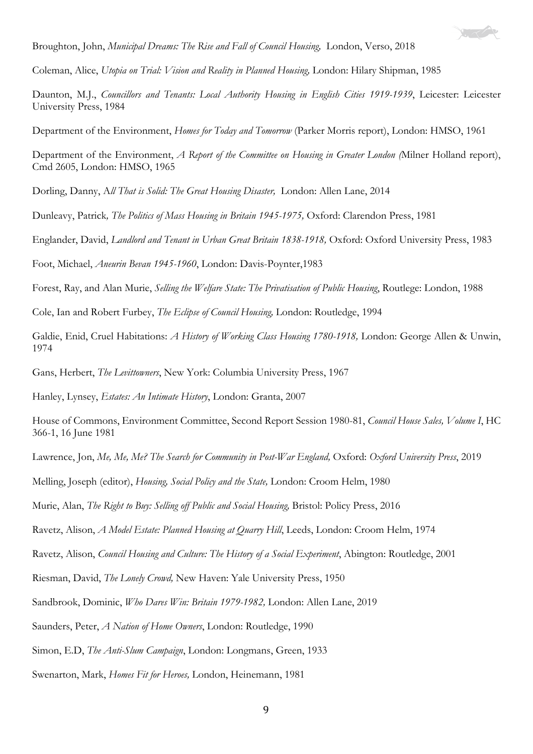

Broughton, John, *Municipal Dreams: The Rise and Fall of Council Housing,* London, Verso, 2018

Coleman, Alice, *Utopia on Trial: Vision and Reality in Planned Housing,* London: Hilary Shipman, 1985

Daunton, M.J., *Councillors and Tenants: Local Authority Housing in English Cities 1919-1939*, Leicester: Leicester University Press, 1984

Department of the Environment, *Homes for Today and Tomorrow* (Parker Morris report), London: HMSO, 1961

Department of the Environment, *A Report of the Committee on Housing in Greater London (*Milner Holland report), Cmd 2605, London: HMSO, 1965

Dorling, Danny, A*ll That is Solid: The Great Housing Disaster,* London: Allen Lane, 2014

Dunleavy, Patrick*, The Politics of Mass Housing in Britain 1945-1975,* Oxford: Clarendon Press, 1981

Englander, David, *Landlord and Tenant in Urban Great Britain 1838-1918,* Oxford: Oxford University Press, 1983

Foot, Michael, *Aneurin Bevan 1945-1960*, London: Davis-Poynter,1983

Forest, Ray, and Alan Murie, *Selling the Welfare State: The Privatisation of Public Housing*, Routlege: London, 1988

Cole, Ian and Robert Furbey, *The Eclipse of Council Housing,* London: Routledge, 1994

Galdie, Enid, Cruel Habitations: *A History of Working Class Housing 1780-1918,* London: George Allen & Unwin, 1974

Gans, Herbert, *The Levittowners*, New York: Columbia University Press, 1967

Hanley, Lynsey, *Estates: An Intimate History*, London: Granta, 2007

House of Commons, Environment Committee, Second Report Session 1980-81, *Council House Sales, Volume I*, HC 366-1, 16 June 1981

Lawrence, Jon, *Me, Me, Me? The Search for Community in Post-War England,* Oxford: *Oxford University Press*, 2019

Melling, Joseph (editor), *Housing, Social Policy and the State,* London: Croom Helm, 1980

Murie, Alan, *The Right to Buy: Selling off Public and Social Housing,* Bristol: Policy Press, 2016

Ravetz, Alison, *A Model Estate: Planned Housing at Quarry Hill*, Leeds, London: Croom Helm, 1974

Ravetz, Alison, *Council Housing and Culture: The History of a Social Experiment*, Abington: Routledge, 2001

Riesman, David, *The Lonely Crowd,* New Haven: Yale University Press, 1950

Sandbrook, Dominic, *Who Dares Win: Britain 1979-1982,* London: Allen Lane, 2019

Saunders, Peter, *A Nation of Home Owners*, London: Routledge, 1990

Simon, E.D, *The Anti-Slum Campaign*, London: Longmans, Green, 1933

Swenarton, Mark, *Homes Fit for Heroes,* London, Heinemann, 1981